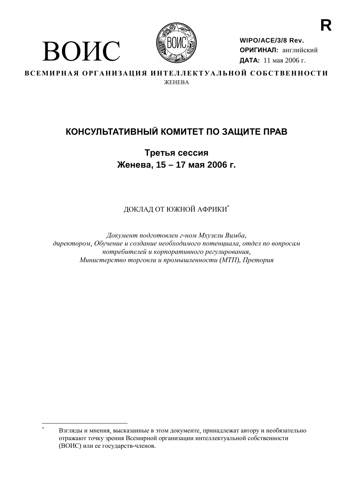

ВОИС

WIPO/ACE/3/8 Rev. ОРИГИНАЛ: английский ДАТА: 11 мая 2006 г.

ВСЕМИРНАЯ ОРГАНИЗАЦИЯ ИНТЕЛЛЕКТУАЛЬНОЙ СОБСТВЕННОСТИ **WEHERA** 

# КОНСУЛЬТАТИВНЫЙ КОМИТЕТ ПО ЗАЩИТЕ ПРАВ

Третья сессия Женева, 15 - 17 мая 2006 г.

ДОКЛАД ОТ ЮЖНОЙ АФРИКИ\*

Документ подготовлен г-ном Мхузели Вимба, директором, Обучение и создание необходимого потенциала, отдел по вопросам потребителей и корпоративного регулирования, Министерство торговли и промышленности (МТП), Претория

Взгляды и мнения, высказанные в этом документе, принадлежат автору и необязательно отражают точку зрения Всемирной организации интеллектуальной собственности (ВОИС) или ее государств-членов.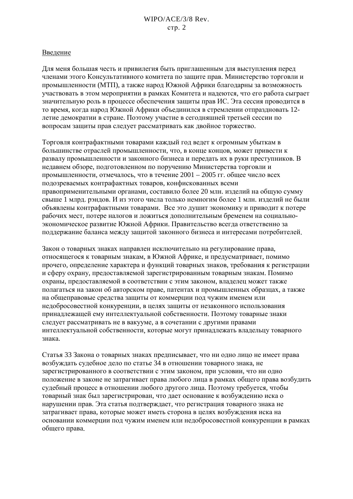## Введение

Для меня большая честь и привилегия быть приглашенным для выступления перед членами этого Консультативного комитета по защите прав. Министерство торговли и промышленности (МТП), а также народ Южной Африки благодарны за возможность участвовать в этом мероприятии в рамках Комитета и надеются, что его работа сыграет значительную роль в процессе обеспечения зашиты прав ИС. Эта сессия проводится в то время, когда народ Южной Африки объединился в стремлении отпраздновать 12летие демократии в стране. Поэтому участие в сегодняшней третьей сессии по вопросам защиты прав следует рассматривать как двойное торжество.

Торговля контрафактными товарами кажлый гол велет к огромным убыткам в большинстве отраслей промышленности, что, в конце концов, может привести к развалу промышленности и законного бизнеса и передать их в руки преступников. В недавнем обзоре, подготовленном по поручению Министерства торговли и промышленности, отмечалось, что в течение 2001 - 2005 гг. общее число всех подозреваемых контрафактных товаров, конфискованных всеми правоприменительными органами, составило более 20 млн. изделий на общую сумму свыше 1 млрд. рэндов. И из этого числа только немногим более 1 млн. изделий не были объявлены контрафактными товарами. Все это душит экономику и приводит к потере рабочих мест, потере налогов и ложиться дополнительным бременем на социальноэкономическое развитие Южной Африки. Правительство всегла ответственно за поддержание баланса между защитой законного бизнеса и интересами потребителей.

Закон о товарных знаках направлен исключительно на регулирование права, относящегося к товарным знакам, в Южной Африке, и предусматривает, помимо прочего, определение характера и функций товарных знаков, требования к регистрации и сферу охрану, предоставляемой зарегистрированным товарным знакам. Помимо охраны, предоставляемой в соответствии с этим законом, владелец может также полагаться на закон об авторском праве, патентах и промышленных образцах, а также на общеправовые средства защиты от коммерции под чужим именем или недобросовестной конкуренции, в целях защиты от незаконного использования принадлежащей ему интеллектуальной собственности. Поэтому товарные знаки следует рассматривать не в вакууме, а в сочетании с другими правами интеллектуальной собственности, которые могут принадлежать владельцу товарного знака.

Статья 33 Закона о товарных знаках предписывает, что ни одно лицо не имеет права возбуждать судебное дело по статье 34 в отношении товарного знака, не зарегистрированного в соответствии с этим законом, при условии, что ни одно положение в законе не затрагивает права любого лица в рамках общего права возбудить судебный процесс в отношении любого другого лица. Поэтому требуется, чтобы товарный знак был зарегистрирован, что дает основание к возбуждению иска о нарушении прав. Эта статья подтверждает, что регистрация товарного знака не затрагивает права, которые может иметь сторона в целях возбуждения иска на основании коммерции под чужим именем или недобросовестной конкуренции в рамках общего права.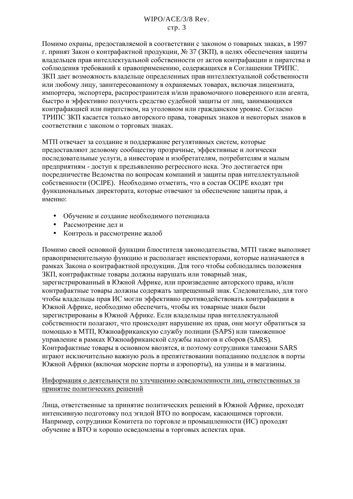Помимо охраны, предоставляемой в соответствии с законом о товарных знаках, в 1997 г. принят Закон о контрафактной продукции, № 37 (ЗКП), в целях обеспечения защиты владельцев прав интеллектуальной собственности от актов контрафакции и пиратства и соблюдения требований к правоприменению, содержащихся в Соглашении ТРИПС. ЗКП дает возможность владельце определенных прав интеллектуальной собственности или любому лицу, заинтересованному в охраняемых товарах, включая лицензиата, импортера, экспортера, распространителя и/или правомочного поверенного или агента, быстро и эффективно получить средство судебной зашиты от лиц. занимающихся контрафакцией или пиратством, на уголовном или гражданском уровне. Согласно ТРИПС ЗКП касается только авторского права, товарных знаков и некоторых знаков в соответствии с законом о торговых знаках.

МТП отвечает за создание и поддержание регулятивных систем, которые предоставляют деловому сообществу прозрачные, эффективные и логически последовательные услуги, а инвесторам и изобретателям, потребителям и малым предприятиям - доступ к предъявлению регрессного иска. Это достигается при посредничестве Ведомства по вопросам компаний и защиты прав интеллектуальной собственности (ОСІРЕ). Необходимо отметить, что в состав ОСІРЕ входят три функциональных директората, которые отвечают за обеспечение защиты прав, а именно:

- Обучение и создание необходимого потенциала
- Рассмотрение дел и
- Контроль и рассмотрение жалоб

Помимо своей основной функции блюстителя законодательства, МТП также выполняет правоприменительную функцию и располагает инспекторами, которые назначаются в рамках Закона о контрафактной продукции. Для того чтобы соблюдались положения ЗКП, контрафактные товары должны нарушать или товарный знак, зарегистрированный в Южной Африке, или произвеление авторского права, и/или контрафактные товары должны содержать запрещенный знак. Следовательно, для того чтобы владельцы прав ИС могли эффективно противодействовать контрафакции в Южной Африке, необходимо обеспечить, чтобы их товарные знаки были зарегистрированы в Южной Африке. Если владельцы прав интеллектуальной собственности полагают, что происходит нарушение их прав, они могут обратиться за помощью в МТП, Южноафриканскую службу полиции (SAPS) или таможенное управление в рамках Южноафриканской службы налогов и сборов (SARS). Контрафактные товары в основном ввозятся, и поэтому сотрудники таможни SARS играют исключительно важную роль в препятствовании попаланию поллелок в порты Южной Африки (включая морские порты и аэропорты), на улицы и в магазины.

## Информация о деятельности по улучшению осведомленности лиц, ответственных за принятие политических решений

Лица, ответственные за принятие политических решений в Южной Африке, проходят интенсивную подготовку под эгидой ВТО по вопросам, касающимся торговли. Например, сотрудники Комитета по торговле и промышленности (ИС) проходят обучение в ВТО и хорошо осведомлены в торговых аспектах прав.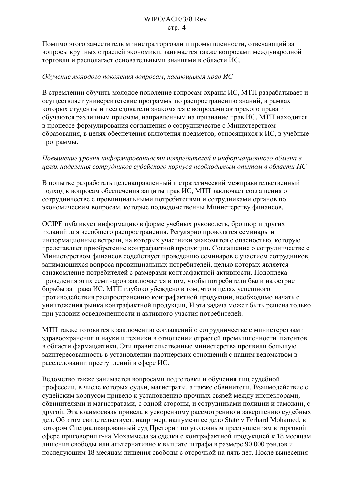Помимо этого заместитель министра торговли и промышленности, отвечающий за вопросы крупных отраслей экономики, занимается также вопросами международной торговли и располагает основательными знаниями в области ИС.

## Обучение молодого поколения вопросам, касающимся прав ИС

В стремлении обучить молодое поколение вопросам охраны ИС, МТП разрабатывает и осуществляет университетские программы по распространению знаний, в рамках которых студенты и исследователи знакомятся с вопросами авторского права и обучаются различным приемам, направленным на признание прав ИС. МТП находится в процессе формулирования соглашения о сотрудничестве с Министерством образования, в целях обеспечения включения предметов, относящихся к ИС, в учебные программы.

# Повышение уровня информированности потребителей и информационного обмена в целях наделения сотрудников судейского корпуса необходимым опытом в области ИС

В попытке разработать целенаправленный и стратегический межправительственный подход к вопросам обеспечения защиты прав ИС, МТП заключает соглашения о сотрудничестве с провинциальными потребителями и сотрудниками органов по экономическим вопросам, которые подведомственны Министерству финансов.

ОСІРЕ публикуєт информацию в форме учебных руководств, брошюр и других изданий для всеобщего распространения. Регулярно проводятся семинары и информационные встречи, на которых участники знакомятся с опасностью, которую представляет приобретение контрафактной продукции. Соглашение о сотрудничестве с Министерством финансов содействует проведению семинаров с участием сотрудников, занимающихся вопроса провинциальных потребителей, целью которых является ознакомление потребителей с размерами контрафактной активности. Подоплека проведения этих семинаров заключается в том, чтобы потребители были на острие борьбы за права ИС. МТП глубоко убеждено в том, что в целях успешного противодействия распространению контрафактной продукции, необходимо начать с уничтожения рынка контрафактной продукции. И эта задача может быть решена только при условии осведомленности и активного участия потребителей.

МТП также готовится к заключению соглашений о сотрудничестве с министерствами здравоохранения и науки и техники в отношении отраслей промышленности патентов в области фармацевтики. Эти правительственные министерства проявили большую заинтересованность в установлении партнерских отношений с нашим ведомством в расследовании преступлений в сфере ИС.

Ведомство также занимается вопросами подготовки и обучения лиц судебной профессии, в числе которых сульи, магистраты, а также обвинители. Взаимодействие с судейским корпусом привело к установлению прочных связей между инспекторами, обвинителями и магистратами, с одной стороны, и сотрудниками полиции и таможни, с другой. Эта взаимосвязь привела к ускоренному рассмотрению и завершению судебных дел. Об этом свидетельствует, например, нашумевшее дело State v Ferhard Mohamed, в котором Специализированный суд Претории по уголовным преступлениям в торговой сфере приговорил г-на Мохаммеда за сделки с контрафактной продукцией к 18 месяцам лишения своболы или альтернативно к выплате штрафа в размере 90 000 рэндов и последующим 18 месяцам лишения свободы с отсрочкой на пять лет. После вынесения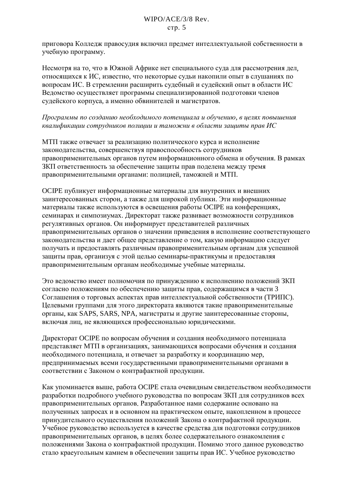приговора Коллелж правосулия включил предмет интеллектуальной собственности в учебную программу.

Несмотря на то, что в Южной Африке нет специального суда для рассмотрения дел, относящихся к ИС, известно, что некоторые судьи накопили опыт в слушаниях по вопросам ИС. В стремлении расширить судебный и судейский опыт в области ИС Ведомство осуществляет программы специализированной подготовки членов судейского корпуса, а именно обвинителей и магистратов.

## Программы по созданию необходимого потенциала и обучению, в целях повышения квалификации сотрудников полиции и таможни в области защиты прав ИС

МТП также отвечает за реализацию политического курса и исполнение законодательства, совершенствуя правоспособность сотрудников правоприменительных органов путем информационного обмена и обучения. В рамках ЗКП ответственность за обеспечение зашиты прав поделена между тремя правоприменительными органами: полицией, таможней и МТП.

ОСІРЕ публикуєт информационные материалы для внутренних и внешних заинтересованных сторон, а также для широкой публики. Эти информационные материалы также используются в освещения работы ОСІРЕ на конференциях, семинарах и симпозиумах. Директорат также развивает возможности сотрудников регулятивных органов. Он информирует представителей различных правоприменительных органов о значении приведения в исполнение соответствующего законодательства и дает общее представление о том, какую информацию следует получать и предоставлять различным правоприменительным органам для успешной защиты прав, организуя с этой целью семинары-практикумы и предоставляя правоприменительным органам необходимые учебные материалы.

Это ведомство имеет полномочия по принуждению к исполнению положений ЗКП согласно положениям по обеспечению зашиты прав, содержащимся в части 3 Соглашения о торговых аспектах прав интеллектуальной собственности (ТРИПС). Целевыми группами для этого директората являются такие правоприменительные органы, как SAPS, SARS, NPA, магистраты и другие заинтересованные стороны, включая лиц, не являющихся профессионально юридическими.

Директорат ОСІРЕ по вопросам обучения и создания необходимого потенциала представляет МТП в организациях, занимающихся вопросами обучения и создания необходимого потенциала, и отвечает за разработку и координацию мер, предпринимаемых всеми государственными правоприменительными органами в соответствии с Законом о контрафактной продукции.

Как упоминается выше, работа ОСІРЕ стала очевидным свидетельством необходимости разработки подробного учебного руководства по вопросам ЗКП для сотрудников всех правоприменительных органов. Разработанное нами содержание основано на полученных запросах и в основном на практическом опыте, накопленном в процессе принудительного осуществления положений Закона о контрафактной продукции. Учебное руководство используется в качестве средства для подготовки сотрудников правоприменительных органов, в целях более содержательного ознакомления с положениями Закона о контрафактной продукции. Помимо этого данное руководство стало краеугольным камнем в обеспечении защиты прав ИС. Учебное руководство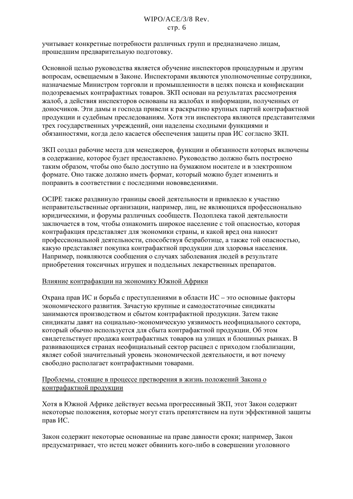учитывает конкретные потребности различных групп и предназначено лицам, прошедшим предварительную подготовку.

Основной целью руководства является обучение инспекторов процедурным и другим вопросам, освещаемым в Законе. Инспекторами являются уполномоченные сотрудники, назначаемые Министром торговли и промышленности в целях поиска и конфискации подозреваемых контрафактных товаров. ЗКП основан на результатах рассмотрения жалоб, а действия инспекторов основаны на жалобах и информации, полученных от доносчиков. Эти дамы и господа привели к раскрытию крупных партий контрафактной продукции и судебным преследованиям. Хотя эти инспектора являются представителями трех государственных учреждений, они наделены сходными функциями и обязанностями, когда дело касается обеспечения защиты прав ИС согласно ЗКП.

ЗКП создал рабочие места для менеджеров, функции и обязанности которых включены в содержание, которое будет предоставлено. Руководство должно быть построено таким образом, чтобы оно было доступно на бумажном носителе и в электронном формате. Оно также должно иметь формат, который можно будет изменить и поправить в соответствии с последними нововведениями.

ОСІРЕ также раздвинуло границы своей деятельности и привлекло к участию неправительственные организации, например, лиц, не являющихся профессионально юридическими, и форумы различных сообществ. Подоплека такой деятельности заключается в том, чтобы ознакомить широкое население с той опасностью, которая контрафакция представляет для экономики страны, и какой вред она наносит профессиональной деятельности, способствуя безработице, а также той опасностью, какую представляет покупка контрафактной продукции для здоровья населения. Например, появляются сообщения о случаях заболевания людей в результате приобретения токсичных игрушек и поддельных лекарственных препаратов.

## Влияние контрафакции на экономику Южной Африки

Охрана прав ИС и борьба с преступлениями в области ИС – это основные факторы экономического развития. Зачастую крупные и самодостаточные синдикаты занимаются производством и сбытом контрафактной продукции. Затем такие синдикаты давят на социально-экономическую уязвимость неофициального сектора. который обычно используется для сбыта контрафактной продукции. Об этом свидетельствует продажа контрафактных товаров на улицах и блошиных рынках. В развивающихся странах неофициальный сектор расцвел с приходом глобализации, являет собой значительный уровень экономической деятельности, и вот почему свободно располагает контрафактными товарами.

## Проблемы, стоящие в процессе претворения в жизнь положений Закона о контрафактной продукции

Хотя в Южной Африке действует весьма прогрессивный ЗКП, этот Закон содержит некоторые положения, которые могут стать препятствием на пути эффективной защиты прав ИС.

Закон содержит некоторые основанные на праве давности сроки; например, Закон предусматривает, что истец может обвинить кого-либо в совершении уголовного